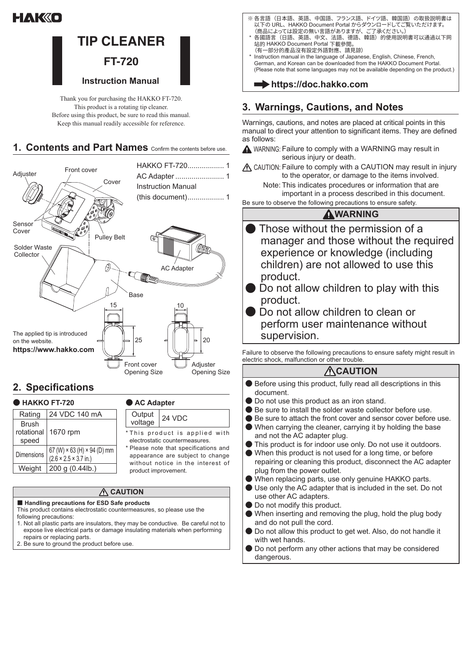# HAK«O



Thank you for purchasing the HAKKO FT-720. This product is a rotating tip cleaner. Before using this product, be sure to read this manual. Keep this manual readily accessible for reference.

#### 1. Contents and Part Names Confirm the contents before use.



## **Specifications 2.**

| <b>HAKKO FT-720</b> |                                                                          | ● AC Adapter                                                                                                   |               |
|---------------------|--------------------------------------------------------------------------|----------------------------------------------------------------------------------------------------------------|---------------|
| Rating              | 24 VDC 140 mA                                                            | Output                                                                                                         | <b>24 VDC</b> |
| <b>Brush</b>        |                                                                          | voltage                                                                                                        |               |
| rotational<br>speed | 1670 rpm                                                                 | *This product is applied with<br>electrostatic countermeasures.                                                |               |
| Dimensions          | 67 (W) × 63 (H) × 94 (D) mm<br>$(2.6 \times 2.5 \times 3.7 \text{ in.})$ | * Please note that specifications and<br>appearance are subject to change<br>without notice in the interest of |               |
| Weight              | 200 g (0.44lb.)                                                          | product improvement.                                                                                           |               |

#### **A** CAUTION

#### ■ Handling precautions for ESD Safe products

This product contains electrostatic countermeasures, so please use the following precautions:

- 1. Not all plastic parts are insulators, they may be conductive. Be careful not to expose live electrical parts or damage insulating materials when performing repairs or replacing parts.
- 2. Be sure to ground the product before use.
- ※ 各言語(日本語、央語、中国語、ノランス語、トイツ語、韓国語)の取扱説明書は<br>- 以下の URL、HAKKO Document Portal からダウンロードしてご覧いただけます。 (商品によっては設定の無い言語がありますが、ご了承ください。)
- \* 各國語言(日語、英語、中文、法語、德語、韓語)的使用説明書可以通過以下网<br>- 站的 HAKKO Document Portal 下載參閲。<sub>\_\_\_</sub> (有一部分的產品沒有設定外語對應、請見諒)
- Instruction manual in the language of Japanese, English, Chinese, French, German, and Korean can be downloaded from the HAKKO Document Portal. (Please note that some languages may not be available depending on the product.)

### **com** https://doc.hakko.com

## **3. Warnings, Cautions, and Notes**

Warnings, cautions, and notes are placed at critical points in this manual to direct your attention to significant items. They are defined as follows:

 $\triangle$  WARNING: Failure to comply with a WARNING may result in serious injury or death.

 $\Lambda$  CAUTION: Failure to comply with a CAUTION may result in injury to the operator, or damage to the items involved.

Note: This indicates procedures or information that are important in a process described in this document.

Be sure to observe the following precautions to ensure safety.

#### **WARNING**

- **Those without the permission of a** manager and those without the required experience or knowledge (including children) are not allowed to use this .product
- **Do** not allow children to play with this .product
- **Do not allow children to clean or** perform user maintenance without supervision.

Failure to observe the following precautions to ensure safety might result in electric shock, malfunction or other trouble

### **ACAUTION**

- $\bullet$  Before using this product, fully read all descriptions in this .document
- **.** Do not use this product as an iron stand.
- **.** Be sure to install the solder waste collector before use.
- **.** Be sure to attach the front cover and sensor cover before use.
- $\bullet$  When carrying the cleaner, carrying it by holding the base and not the AC adapter plug.
- $\bullet$  This product is for indoor use only. Do not use it outdoors.
- $\bullet$  When this product is not used for a long time, or before repairing or cleaning this product, disconnect the AC adapter plug from the power outlet.
- When replacing parts, use only genuine HAKKO parts.
- Use only the AC adapter that is included in the set. Do not use other AC adapters.
- Do not modify this product.
- **When inserting and removing the plug, hold the plug body** and do not pull the cord.
- **O** Do not allow this product to get wet. Also, do not handle it with wet hands.
- Do not perform any other actions that may be considered dangerous.